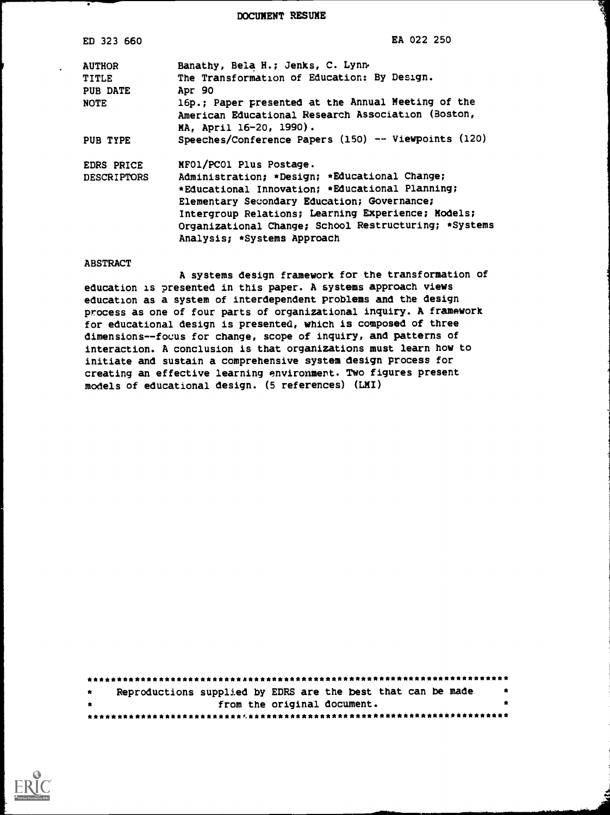DOCUMENT RESUME

| ED 323 660         | EA 022 250                                            |
|--------------------|-------------------------------------------------------|
| <b>AUTHOR</b>      | Banathy, Bela H.; Jenks, C. Lynn-                     |
| <b>TITLE</b>       | The Transformation of Education: By Design.           |
| <b>PUB DATE</b>    | Apr 90                                                |
| NOTE               | 16p.; Paper presented at the Annual Meeting of the    |
|                    | American Educational Research Association (Boston,    |
|                    | MA, April 16-20, 1990).                               |
| PUB TYPE           | Speeches/Conference Papers (150) -- Viewpoints (120)  |
| EDRS PRICE         | MF01/PC01 Plus Postage.                               |
| <b>DESCRIPTORS</b> | Administration; *Design; *Educational Change;         |
|                    | *Educational Innovation; *Educational Planning;       |
|                    | Elementary Secondary Education; Governance;           |
|                    | Intergroup Relations; Learning Experience; Models;    |
|                    | Organizational Change; School Restructuring; *Systems |
|                    | Analysis: *Systems Approach                           |

#### ABSTRACT

A systems design framework for the transformation of education is presented in this paper. A systems approach views education as a system of interdependent problems and the design process as one of four parts of organizational inquiry. A framework for educational design is presented, which is composed of three dimensions--focus for change, scope of inquiry, and patterns of interaction. A conclusion is that organizations must learn how to initiate and sustain a comprehensive system design process for creating an effective learning environment. Two figures present models of educational design. (5 references) (LMI)

| $\bullet$ | Reproductions supplied by EDRS are the best that can be made | $\bullet$ |  |  |
|-----------|--------------------------------------------------------------|-----------|--|--|
| $\bullet$ | from the original document.                                  |           |  |  |
|           |                                                              |           |  |  |

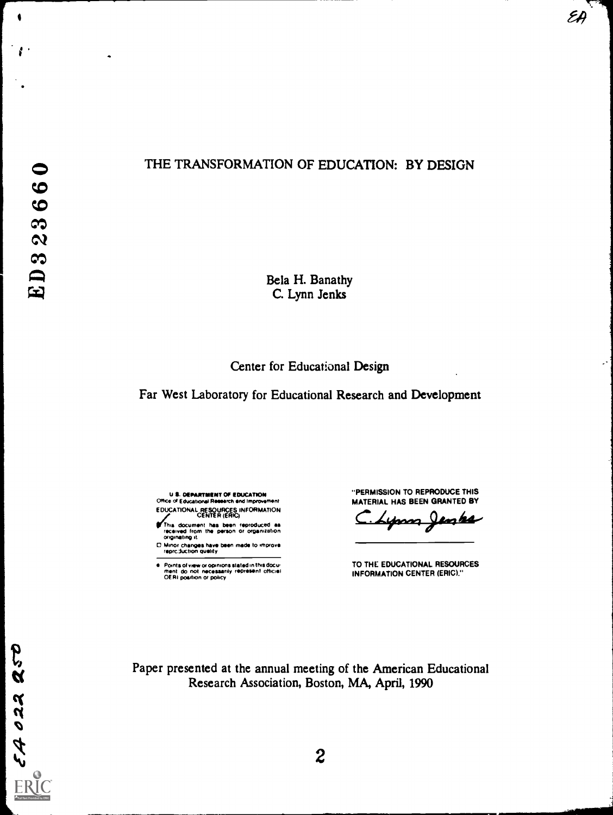t

eit o

 $\alpha$ 

 $\ddot{\mathbf{r}}$ 

 $\tilde{\mathcal{A}}$ N,

 $\blacksquare$ 

alb

## THE TRANSFORMATION OF EDUCATION: BY DESIGN

Bela H. Banathy C. Lynn Jenks

Center for Educational Design

Far West Laboratory for Educational Research and Development

U **S. DEPARTMENT OF EDUCATION**<br>Office of Educational Research end Improvement EDUCATIONAL RESOURCES INFORMATION

CENTER (ERIC)<br>This document has been reproduced as<br>originating it.<br>originating it.

0 Minor changes nave been made to improve reprciuction Quality

Points of view or opinions slated in this docu-<br>ment :do: not: necessarily represent: official<br>OERI poeition or policy

"PERMISSION TO REPRODUCE THIS MATERIAL HAS BEEN GRANTED BY

Lymon Jenska

TO THE EDUCATIONAL RESOURCES INFORMATION CENTER (ERIC)."

Paper presented at the annual meeting of the American Educational Research Association, Boston, MA, April, 1990

 $\mathbf{r}$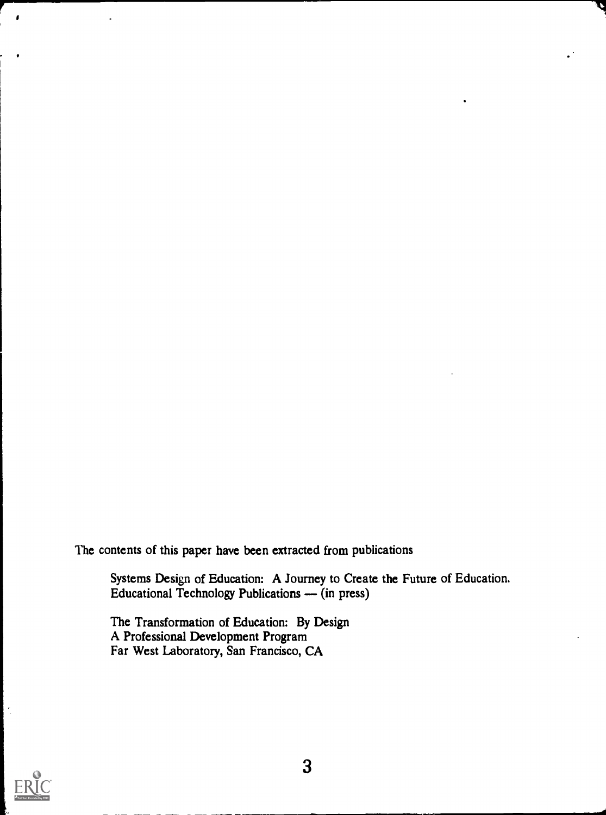The contents of this paper have been extracted from publications

Systems Design of Education: A Journey to Create the Future of Education.  $E$ ducational Technology Publications  $-$  (in press)

The Transformation of Education: By Design A Professional Development Program Far West Laboratory, San Francisco, CA



 $\frac{1}{2}$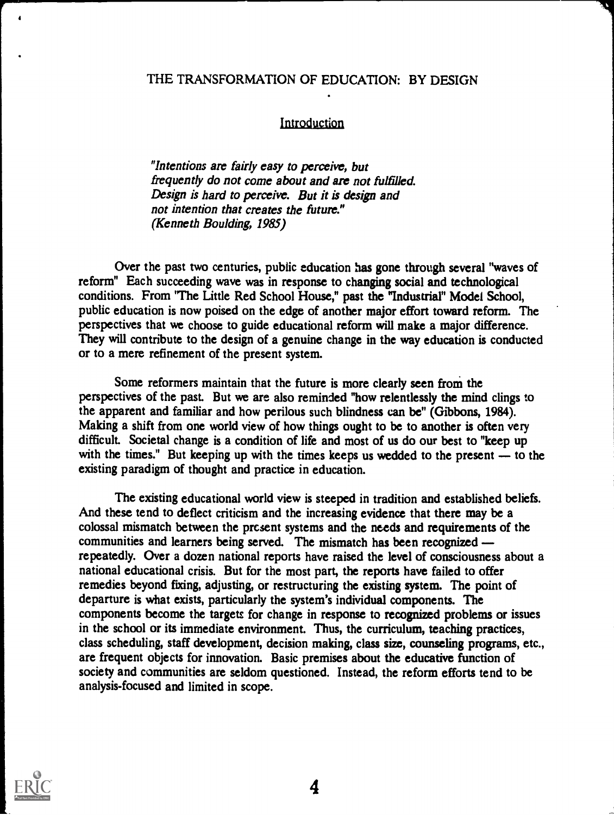#### THE TRANSFORMATION OF EDUCATION: BY DESIGN

#### Introduction

"Intentions are fairly easy to perceive, but frequently do not come about and are not fulfilled. Design is hard to perceive. But it is design and not intention that creates the future." (Kenneth Boulding, 1985)

Over the past two centuries, public education has gone through several "waves of reform" Each succeeding wave was in response to changing social and technological conditions. From 'The Little Red School House," past the "Industrial" Model School, public education is now poised on the edge of another major effort toward reform. The perspectives that we choose to guide educational reform will make a major difference. They will contribute to the design of a genuine change in the way education is conducted or to a mere refinement of the present system.

Some reformers maintain that the future is more clearly seen from the perspectives of the past. But we are also reminded "how relentlessly the mind clings to the apparent and familiar and how perilous such blindness can be" (Gibbons, 1984). Making a shift from one world view of how things ought to be to another is often very difficult. Societal change is a condition of life and most of us do our best to "keep up with the times." But keeping up with the times keeps us wedded to the present  $-$  to the existing paradigm of thought and practice in education.

The existing educational world view is steeped in tradition and established beliefs. And these tend to deflect criticism and the increasing evidence that there may be a colossal mismatch between the prcsent systems and the needs and requirements of the communities and learners being served. The mismatch has been recognized repeatedly. Over a dozen national reports have raised the level of consciousness about a national educational crisis. But for the most part, the reports have failed to offer remedies beyond fixing, adjusting, or restructuring the existing system. The point of departure is what exists, particularly the system's individual components. The components become the targets for change in response to recognized problems or issues in the school or its immediate environment. Thus, the curriculum, teaching practices, class scheduling, staff development, decision making, class size, counseling programs, etc., are frequent objects for innovation. Basic premises about the educative function of society and communities are seldom questioned. Instead, the reform efforts tend to be analysis-focused and limited in scope.

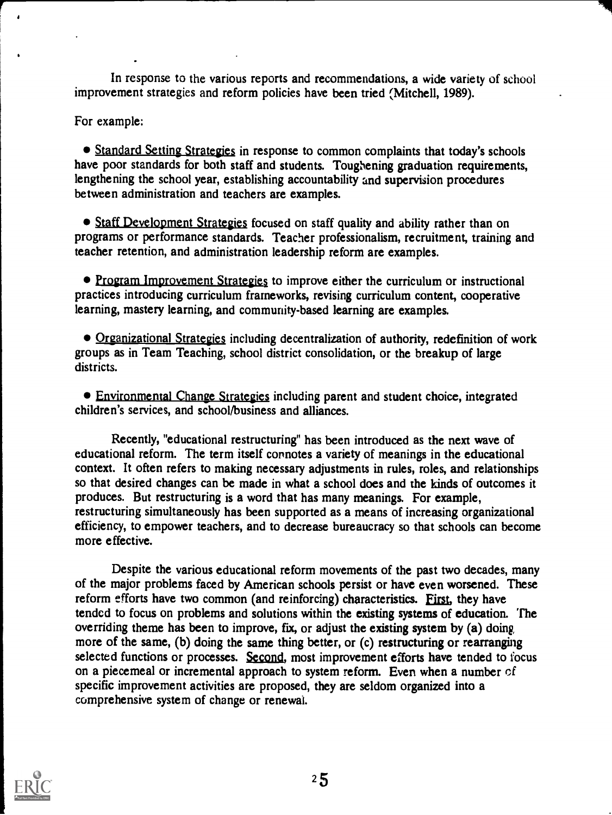In response to the various reports and recommendations, a wide variety of school improvement strategies and reform policies have been tried (Mitchell, 1989).

For example:

• Standard Setting Strategies in response to common complaints that today's schools have poor standards for both staff and students. Toughening graduation requirements, lengthening the school year, establishing accountability and supervision procedures between administration and teachers are examples.

• Staff Development Strategies focused on staff quality and ability rather than on programs or performance standards. Teacher professionalism, recruitment, training and teacher retention, and administration leadership reform are examples.

Program Improvement Strategies to improve either the curriculum or instructional practices introducing curriculum frameworks, revising curriculum content, cooperative learning, mastery learning, and community-based learning are examples.

Organizational Strategies including decentralization of authority, redefinition of work groups as in Team Teaching, school district consolidation, or the breakup of large districts.

Environmental Chance Strategies including parent and student choice, integrated children's services, and school/business and alliances.

Recently, "educational restructuring" has been introduced as the next wave of educational reform. The term itself connotes a variety of meanings in the educational context. It often refers to making necessary adjustments in rules, roles, and relationships so that desired changes can be made in what a school does and the kinds of outcomes it produces. But restructuring is a word that has many meanings. For example, restructuring simultaneously has been supported as a means of increasing organizational efficiency, to empower teachers, and to decrease bureaucracy so that schools can become more effective.

Despite the various educational reform movements of the past two decades, many of the major problems faced by American schools persist or have even worsened. These reform efforts have two common (and reinforcing) characteristics. First, they have tendcd to focus on problems and solutions within the existing systems of education. The overriding theme has been to improve, fix, or adjust the existing system by (a) doing more of the same, (b) doing the same thing better, or (c) restructuring or rearranging selected functions or processes. Second, most improvement efforts have tended to focus on a piecemeal or incremental approach to system reform. Even when a number of specific improvement activities are proposed, they are seldom organized into a comprehensive system of change or renewal.

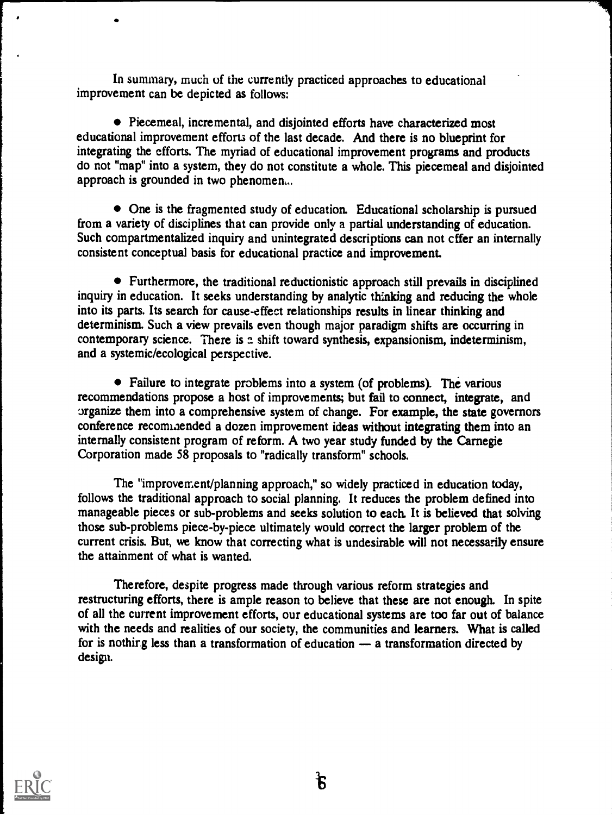In summary, much of the currently practiced approaches to educational improvement can be depicted as follows:

• Piecemeal, incremental, and disjointed efforts have characterized most educational improvement efforts of the last decade. And there is no blueprint for integrating the efforts. The myriad of educational improvement programs and products do not "map" into a system, they do not constitute a whole. This piecemeal and disjointed approach is grounded in two phenomen...

One is the fragmented study of education. Educational scholarship is pursued from a variety of disciplines that can provide only a partial understanding of education. Such compartmentalized inquiry and unintegrated descriptions can not cffer an internally consistent conceptual basis for educational practice and improvement.

Furthermore, the traditional reductionistic approach still prevails in disciplined inquiry in education. It seeks understanding by analytic thinking and reducing the whole into its parts. Its search for cause-effect relationships results in linear thinking and determinism. Such a view prevails even though major paradigm shifts are occurring in contemporary science. There is  $2$  shift toward synthesis, expansionism, indeterminism, and a systemic/ecological perspective.

Failure to integrate problems into a system (of problems). The various recommendations propose a host of improvements; but fail to connect, integrate, and organize them into a comprehensive system of change. For example, the state governors conference recomizended a dozen improvement ideas without integrating them into an internally consistent program of reform. A two year study funded by the Carnegie Corporation made 58 proposals to "radically transform" schools.

The "improvement/planning approach," so widely practiced in education today, follows the traditional approach to social planning. It reduces the problem defined into manageable pieces or sub-problems and seeks solution to each. It is believed that solving those sub-problems piece-by-piece ultimately would correct the larger problem of the current crisis. But, we know that correcting what is undesirable will not necessarily ensure the attainment of what is wanted.

Therefore, despite progress made through various reform strategies and restructuring efforts, there is ample reason to believe that these are not enough. In spite of all the current improvement efforts, our educational systems are too far out of balance with the needs and realities of our society, the communities and learners. What is called for is nothirg less than a transformation of education  $-$  a transformation directed by design.

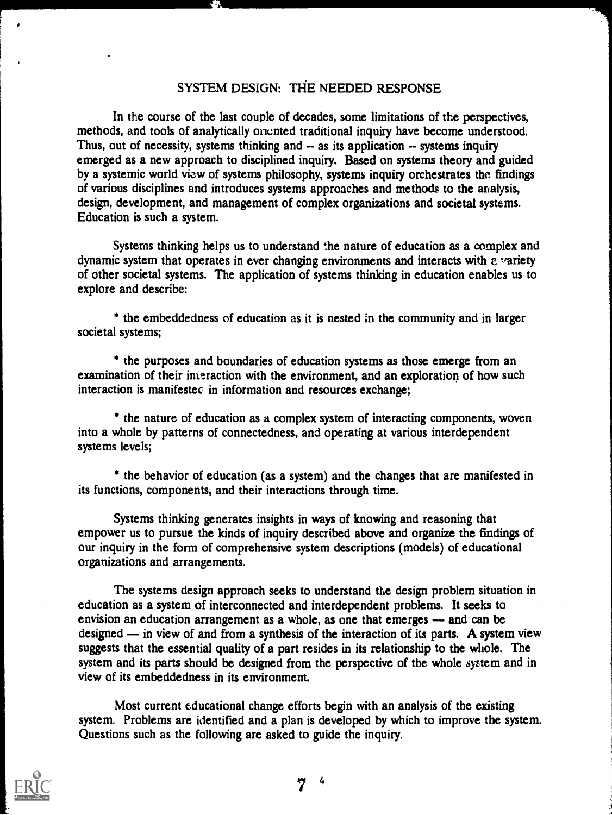### SYSTEM DESIGN: THE NEEDED RESPONSE

In the course of the last couple of decades, some limitations of the perspectives, methods, and tools of analytically onented traditional inquiry have become understood. Thus, out of necessity, systems thinking and -- as its application -- systems inquiry emerged as a new approach to disciplined inquiry. Based on systems theory and guided by a systemic world view of systems philosophy, systems inquiry orchestrates the fmdings of various disciplines and introduces systems approaches and methods to the analysis, design, development, and management of complex organizations and societal systems. Education is such a system.

Systems thinking helps us to understand the nature of education as a complex and dynamic system that operates in ever changing environments and interacts with a variety of other societal systems. The application of systems thinking in education enables us to explore and describe:

\* the embeddedness of education as it is nested in the community and in larger societal systems;

\* the purposes and boundaries of education systems as those emerge from an examination of their interaction with the environment, and an exploration of how such interaction is manifestec in information and resources exchange;

\* the nature of education as a complex system of interacting components, woven into a whole by patterns of connectedness, and operating at various interdependent systems levels;

\* the behavior of education (as a system) and the changes that are manifested in its functions, components, and their interactions through time.

Systems thinking generates insights in ways of knowing and reasoning that empower us to pursue the kinds of inquiry described above and organize the findings of our inquiry in the form of comprehensive system descriptions (models) of educational organizations and arrangements.

The systems design approach seeks to understand the design problem situation in education as a system of interconnected and interdependent problems. It seeks to envision an education arrangement as a whole, as one that emerges  $-$  and can be designed  $-$  in view of and from a synthesis of the interaction of its parts. A system view suggests that the essential quality of a part resides in its relationship to the whole. The system and its parts should be designed from the perspective of the whole system and in view of its embeddedness in its environment.

Most current educational change efforts begin with an analysis of the existing system. Problems are identified and a plan is developed by which to improve the system. Questions such as the following are asked to guide the inquiry.



,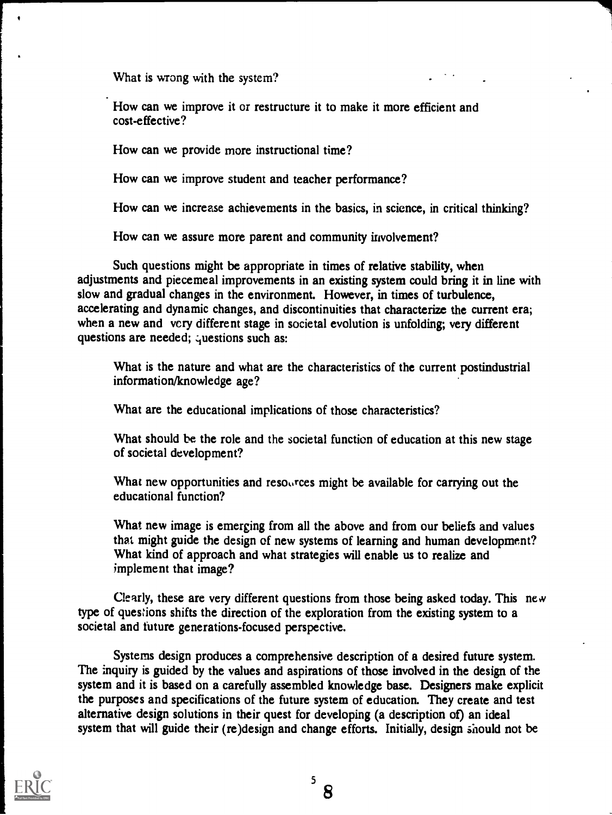What is wrong with the system?

How can we improve it or restructure it to make it more efficient and cost-effective?

How can we provide more instructional time?

How can we improve student and teacher performance?

How can we increase achievements in the basics, in science, in critical thinking?

How can we assure more parent and community involvement?

Such questions might be appropriate in times of relative stability, when adjustments and piecemeal improvements in an existing system could bring it in line with slow and gradual changes in the environment. However, in times of turbulence, accelerating and dynamic changes, and discontinuities that characterize the current era; when a new and very different stage in societal evolution is unfolding; very different questions are needed;  $\frac{1}{4}$ uestions such as:

What is the nature and what are the characteristics of the current postindustrial information/knowledge age?

What are the educational implications of those characteristics?

What should be the role and the societal function of education at this new stage of societal development?

What new opportunities and resources might be available for carrying out the educational function?

What new image is emerging from all the above and from our beliefs and values that might guide the design of new systems of learning and human development? What kind of approach and what strategies will enable us to realize and implement that image?

Clearly, these are very different questions from those being asked today. This ne w type of questions shifts the direction of the exploration from the existing system to a societal and future generations-focused perspective.

Systems design produces a comprehensive description of a desired future system. The inquiry is guided by the values and aspirations of those involved in the design of the system and it is based on a carefully assembled knowledge base. Designers make explicit the purposes and specifications of the future system of education. They create and test alternative design solutions in their quest for developing (a description of) an ideal system that will guide their (re)design and change efforts. Initially, design should not be

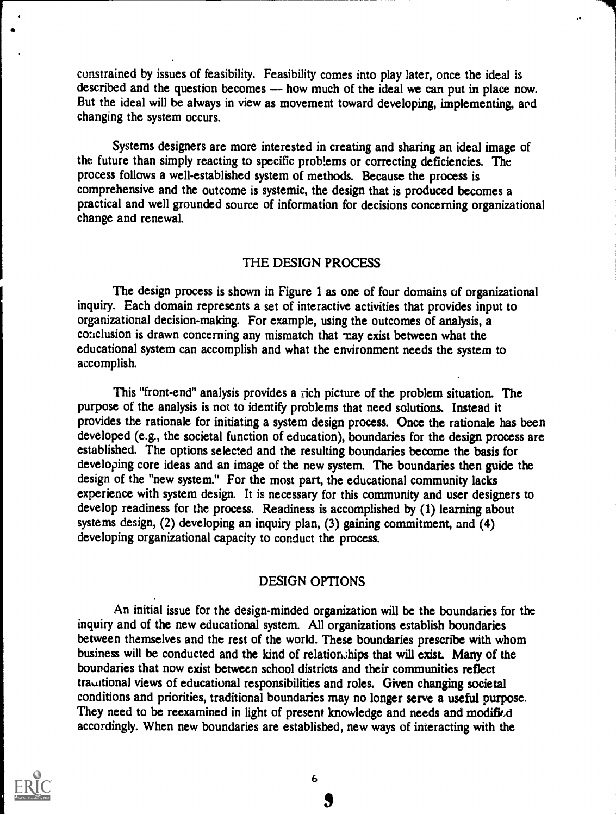constrained by issues of feasibility. Feasibility comes into play later, once the ideal is described and the question becomes — how much of the ideal we can put in place now. But the ideal will be always in view as movement toward developing, implementing, ard changing the system occurs.

Systems designers are more interested in creating and sharing an ideal image of the future than simply reacting to specific problems or correcting deficiencies. The process follows a well-established system of methods. Because the process is comprehensive and the outcome is systemic, the design that is produced becomes a practical and well grounded source of information for decisions concerning organizational change and renewal.

#### THE DESIGN PROCESS

The design process is shown in Figure 1 as one of four domains of organizational inquiry. Each domain represents a set of interactive activities that provides input to organizational decision-making. For example, using the outcomes of analysis, a conclusion is drawn concerning any mismatch that may exist between what the educational system can accomplish and what the environment needs the system to accomplish.

This "front-end" analysis provides a rich picture of the problem situation. The purpose of the analysis is not to identify problems that need solutions. Instead it provides the rationale for initiating a system design process. Once the rationale has been developed (e.g., the societal function of education), boundaries for the design process are established. The options selected and the resulting boundaries become the basis for developing core ideas and an image of the new system. The boundaries then guide the design of the "new system." For the most part, the educational community lacks experience with system design. It is necessary for this community and user designers to develop readiness for the process. Readiness is accomplished by (1) learning about systems design, (2) developing an inquiry plan, (3) gaining commitment, and (4) developing organizational capacity to conduct the process.

#### DESIGN OPTIONS

An initial issue for the design-minded organization will be the boundaries for the inquiry and of the new educational system. All organizations establish boundaries between themselves and the rest of the world. These boundaries prescribe with whom business will be conducted and the kind of relation,hips that will exist. Many of the boundaries that now exist between school districts and their communities reflect trauitional views of educational responsibilities and roles. Given changing societal conditions and priorities, traditional boundaries may no longer serve a useful purpose. They need to be reexamined in light of present knowledge and needs and modificd accordingly. When new boundaries are established, new ways of interacting with the



 $\bullet$ 

6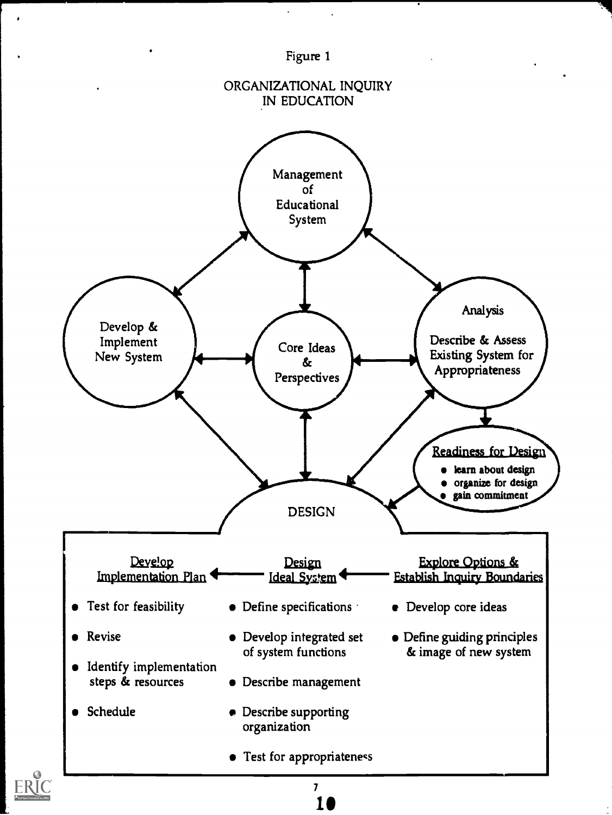

 $\ddot{\phantom{0}}$ 



 $\frac{7}{1}$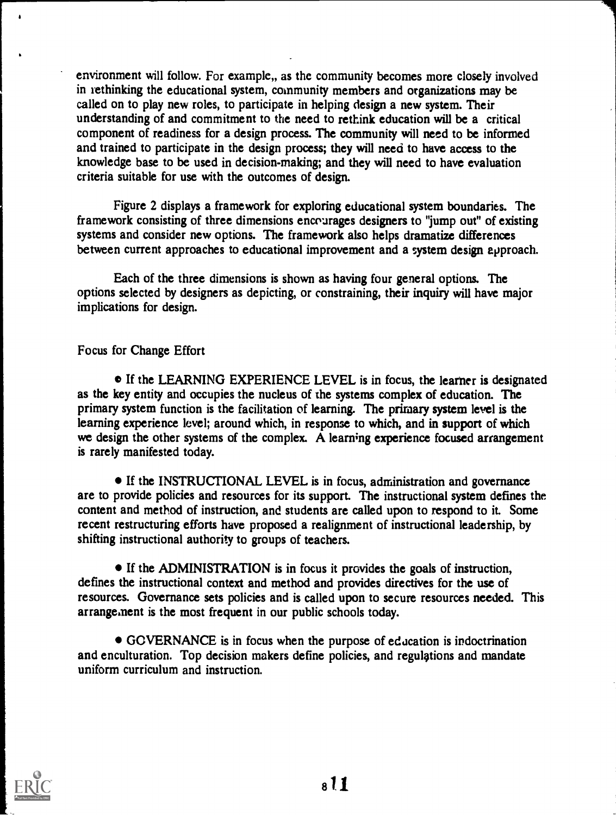environment will follow. For example,, as the community becomes more closely involved in tethinking the educational system, community members and organizations may be called on to play new roles, to participate in helping design a new system. Their understanding of and commitment to the need to rethink education will be a critical component of readiness for a design process. The community will need to be informed and trained to participate in the design process; they will need to have access to the knowledge base to be used in decision-making; and they will need to have evaluation criteria suitable for use with the outcomes of design.

Figure 2 displays a framework for exploring educational system boundaries. The framework consisting of three dimensions encourages designers to "jump out" of existing systems and consider new options. The framework also helps dramatize differences between current approaches to educational improvement and a system design approach.

Each of the three dimensions is shown as having four general options. The options selected by designers as depicting, or constraining, their inquiry will have major implications for design.

### Focus for Change Effort

o If the LEARNING EXPERIENCE LEVEL is in focus, the learner is designated as the key entity and occupies the nucleus of the systems complex of education. The primary system function is the facilitation of learning. The primary system level is the learning experience level; around which, in response to which, and in support of which we design the other systems of the complex. A learning experience focused arrangement is rarely manifested today.

• If the INSTRUCTIONAL LEVEL is in focus, administration and governance are to provide policies and resources for its support. The instructional system defines the content and method of instruction, and students are called upon to respond to it. Some recent restructuring efforts have proposed a realignment of instructional leadership, by shifting instructional authority to groups of teachers.

• If the ADMINISTRATION is in focus it provides the goals of instruction, defines the instructional context and method and provides directives for the use of resources. Governance sets policies and is called upon to secure resources needed. This arrangement is the most frequent in our public schools today.

GOVERNANCE is in focus when the purpose of education is indoctrination and enculturation. Top decision makers define policies, and regulations and mandate uniform curriculum and instruction.

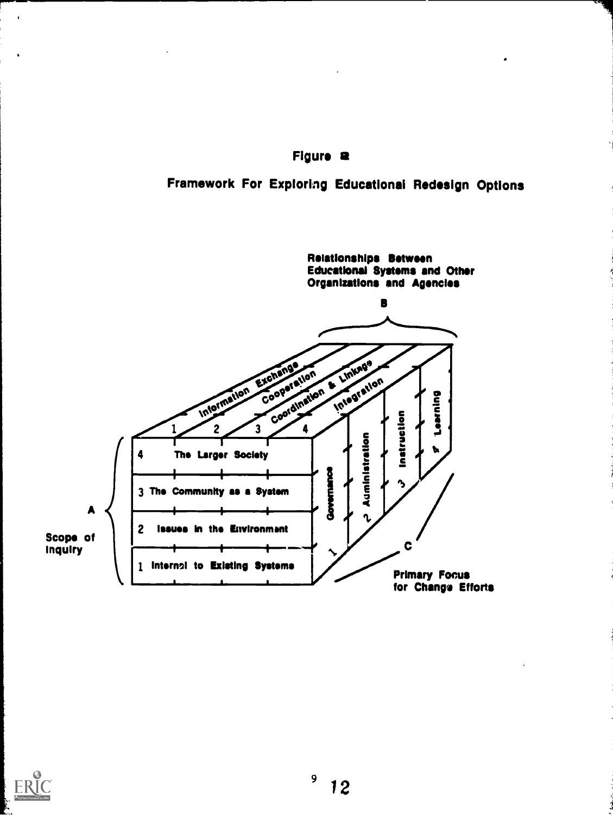

# Framework For Exploring Educational Redesign Options



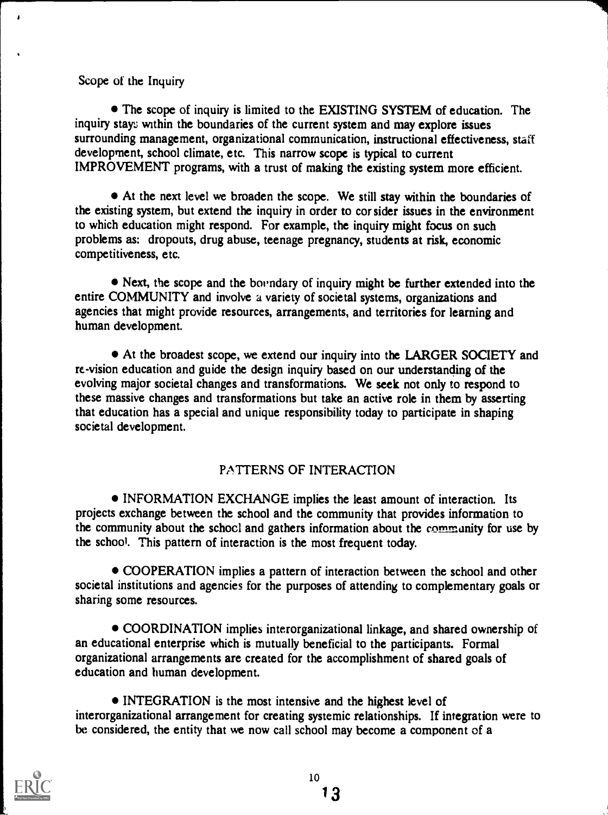### Scope of the Inquiry

 $\mathbf{I}$ 

• The scope of inquiry is limited to the EXISTING SYSTEM of education. The inquiry stays within the boundaries of the current system and may explore issues surrounding management, organizational communication, instructional effectiveness, staff development, school climate, etc. This narrow scope is typical to current IMPROVEMENT programs, with a trust of making the existing system more efficient.

At the next level we broaden the scope. We still stay within the boundaries of the existing system, but extend the inquiry in order to corsider issues in the environment to which education might respond. For example, the inquiry might focus on such problems as: dropouts, drug abuse, teenage pregnancy, students at risk, economic competitiveness, etc.

Next, the scope and the bovndary of inquiry might be further extended into the entire COMMUNITY and involve a variety of societal systems, organizations and agencies that might provide resources, arrangements, and territories for learning and human development.

At the broadest scope, we extend our inquiry into the LARGER SOCIETY and re-vision education and guide the design inquiry based on our understanding of the evolving major societal changes and transformations. We seek not only to respond to these massive changes and transformations but take an active role in them by asserting that education has a special and unique responsibility today to participate in shaping societal development.

## PATTERNS OF INTERACTION

• INFORMATION EXCHANGE implies the least amount of interaction. Its projects exchange between the school and the community that provides information to the community about the school and gathers information about the community for use by the school. This pattern of interaction is the most frequent today.

COOPERATION implies a pattern of interaction between the school and other societal institutions and agencies for the purposes of attending to complementary goals or sharing some resources.

COORDINATION implies interorganizational linkage, and shared ownership of an educational enterprise which is mutually beneficial to the participants. Formal organizational arrangements are created for the accomplishment of shared goals of education and human development.

• INTEGRATION is the most intensive and the highest level of interorganizational arrangement for creating systemic relationships. If integration were to be considered, the entity that we now call school may become a component of a

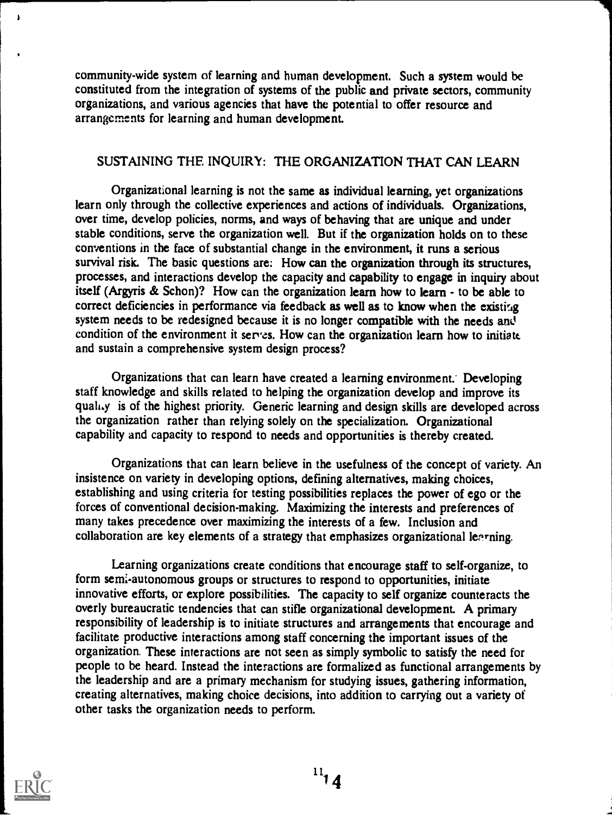community-wide system of learning and human development. Such a system would be constituted from the integration of systems of the public and private sectors, community organizations, and various agencies that have the potential to offer resource and arrangements for learning and human development.

#### SUSTAINING THE INQUIRY: THE ORGANIZATION THAT CAN LEARN

Organizational learning is not the same as individual learning, yet organizations learn only through the collective experiences and actions of individuals. Organizations, over time, develop policies, norms, and ways of behaving that are unique and under stable conditions, serve the organization well. But if the organization holds on to these conventions in the face of substantial change in the environment, it runs a serious survival risk. The basic questions are: How can the organization through its structures, processes, and interactions develop the capacity and capability to engage in inquiry about itself (Argyris & Schon)? How can the organization learn how to learn - to be able to correct deficiencies in performance via feedback as well as to know when the existing system needs to be redesigned because it is no longer compatible with the needs and condition of the environment it serves. How can the organization learn how to initiate and sustain a comprehensive system design process?

Organizations that can learn have created a learning environment: Developing staff knowledge and skills related to helping the organization develop and improve its quality is of the highest priority. Generic learning and design skills are developed across the organization rather than relying solely on the specialization. Organizational capability and capacity to respond to needs and opportunities is thereby created.

Organizations that can learn believe in the usefulness of the concept of variety. An insistence on variety in developing options, defining alternatives, making choices, establishing and using criteria for testing possibilities replaces the power of ego or the forces of conventional decision-making. Maximizing the interests and preferences of many takes precedence over maximizing the interests of a few. Inclusion and collaboration are key elements of a strategy that emphasizes organizational learning.

Learning organizations create conditions that encourage staff to self-organize, to form semi-autonomous groups or structures to respond to opportunities, initiate innovative efforts, or explore possibilities. The capacity to self organize counteracts the overly bureaucratic tendencies that can stifle organizational development. A primary responsibility of leadership is to initiate structures and arrangements that encourage and facilitate productive interactions among staff concerning the important issues of the organization. These interactions are not seen as simply symbolic to satisfy the need for people to be heard. Instead the interactions are formalized as functional arrangements by the leadership and are a primary mechanism for studying issues, gathering information, creating alternatives, making choice decisions, into addition to carrying out a variety of other tasks the organization needs to perform.



I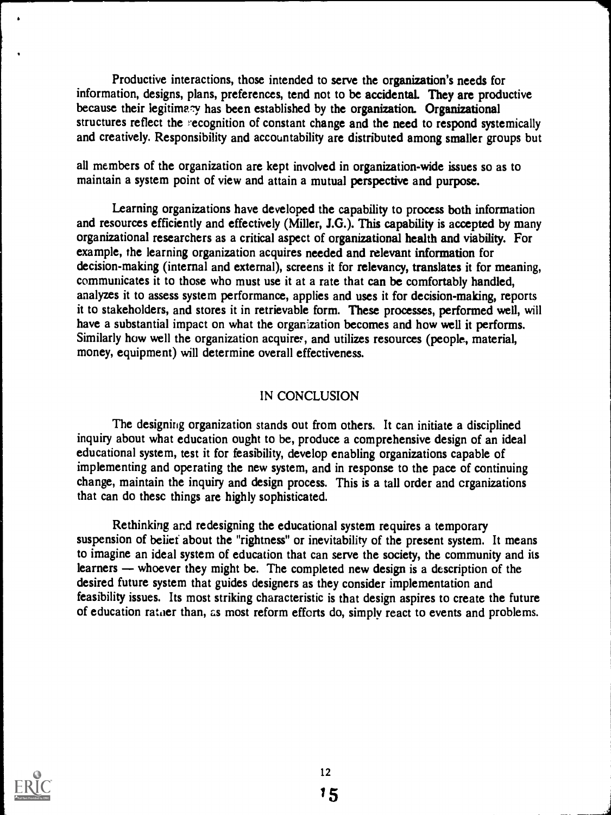Productive interactions, those intended to serve the organization's needs for information, designs, plans, preferences, tend not to be accidental. They are productive because their legitimary has been established by the organization. Organizational structures reflect the recognition of constant change and the need to respond systemically and creatively. Responsibility and accountability are distributed among smaller groups but

all members of the organization are kept involved in organization-wide issues so as to maintain a system point of view and attain a mutual perspective and purpose.

Learning organizations have developed the capability to process both information and resources efficiently and effectively (Miller, J.G.). This capability is accepted by many organizational researchers as a critical aspect of organizational health and viability. For example, the learning organization acquires needed and relevant information for decision-making (internal and external), screens it for relevancy, translates it for meaning, communicates it to those who must use it at a rate that can be comfortably handled, analyzes it to assess system performance, applies and uses it for decision-making, reports it to stakeholders, and stores it in retrievable form. These processes, performed well, will have a substantial impact on what the organization becomes and how well it performs. Similarly how well the organization acquire?, and utilizes resources (people, material, money, equipment) will determine overall effectiveness.

#### IN CONCLUSION

The designing organization stands out from others. It can initiate a disciplined inquiry about what education ought to be, produce a comprehensive design of an ideal educational system, test it for feasibility, develop enabling organizations capable of implementing and operating the new system, and in response to the pace of continuing change, maintain the inquiry and design process. This is a tall order and crganizations that can do these things are highly sophisticated.

Rethinking and redesigning the educational system requires a temporary suspension of belief about the "rightness" or inevitability of the present system. It means to imagine an ideal system of education that can serve the society, the community and its learners — whoever they might be. The completed new design is a description of the desired future system that guides designers as they consider implementation and feasibility issues. Its most striking characteristic is that design aspires to create the future of education rather than, as most reform efforts do, simply react to events and problems.